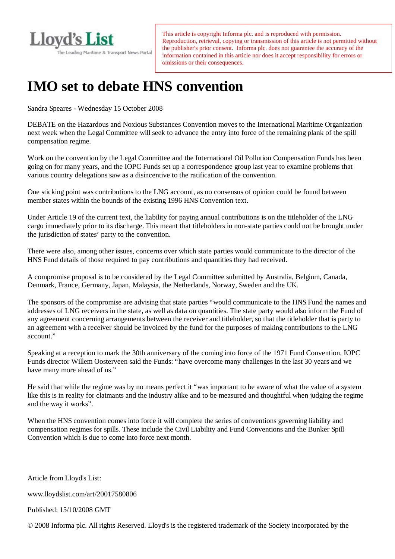

This article is copyright Informa plc. and is reproduced with permission. Reproduction, retrieval, copying or transmission of this article is not permitted without the publisher's prior consent. Informa plc. does not guarantee the accuracy of the information contained in this article nor does it accept responsibility for errors or omissions or their consequences.

## **IMO set to debate HNS convention**

Sandra Speares - Wednesday 15 October 2008

 next week when the Legal Committee will seek to advance the entry into force of the remaining plank of the spill DEBATE on the Hazardous and Noxious Substances Convention moves to the International Maritime Organization compensation regime.

 Work on the convention by the Legal Committee and the International Oil Pollution Compensation Funds has been going on for many years, and the IOPC Funds set up a correspondence group last year to examine problems that various country delegations saw as a disincentive to the ratification of the convention.

 One sticking point was contributions to the LNG account, as no consensus of opinion could be found between member states within the bounds of the existing 1996 HNS Convention text.

 Under Article 19 of the current text, the liability for paying annual contributions is on the titleholder of the LNG cargo immediately prior to its discharge. This meant that titleholders in non-state parties could not be brought under the jurisdiction of states' party to the convention.

 HNS Fund details of those required to pay contributions and quantities they had received. There were also, among other issues, concerns over which state parties would communicate to the director of the

 A compromise proposal is to be considered by the Legal Committee submitted by Australia, Belgium, Canada, Denmark, France, Germany, Japan, Malaysia, the Netherlands, Norway, Sweden and the UK.

 The sponsors of the compromise are advising that state parties "would communicate to the HNS Fund the names and addresses of LNG receivers in the state, as well as data on quantities. The state party would also inform the Fund of an agreement with a receiver should be invoiced by the fund for the purposes of making contributions to the LNG any agreement concerning arrangements between the receiver and titleholder, so that the titleholder that is party to account."

 Speaking at a reception to mark the 30th anniversary of the coming into force of the 1971 Fund Convention, IOPC Funds director Willem Oosterveen said the Funds: "have overcome many challenges in the last 30 years and we have many more ahead of us."

 He said that while the regime was by no means perfect it "was important to be aware of what the value of a system like this is in reality for claimants and the industry alike and to be measured and thoughtful when judging the regime and the way it works".

 When the HNS convention comes into force it will complete the series of conventions governing liability and compensation regimes for spills. These include the Civil Liability and Fund Conventions and the Bunker Spill Convention which is due to come into force next month.

Article from Lloyd's List:

www.lloydslist.com/art/20017580806

Published: 15/10/2008 GMT

© 2008 Informa plc. All rights Reserved. Lloyd's is the registered trademark of the Society incorporated by the